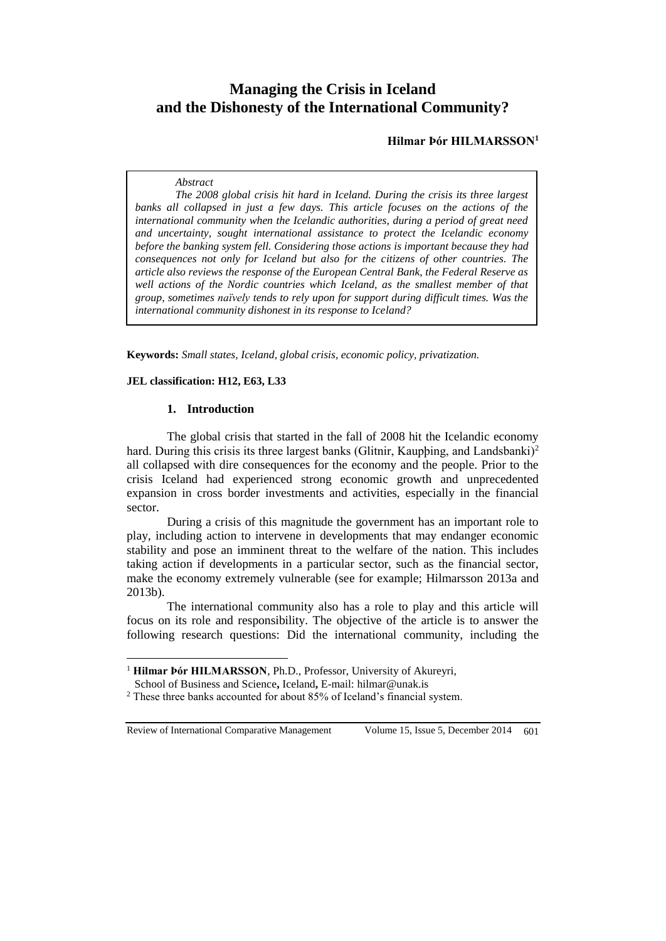# **Managing the Crisis in Iceland and the Dishonesty of the International Community?**

**Hilmar Þór HILMARSSON<sup>1</sup>**

### *Abstract*

*The 2008 global crisis hit hard in Iceland. During the crisis its three largest banks all collapsed in just a few days. This article focuses on the actions of the international community when the Icelandic authorities, during a period of great need and uncertainty, sought international assistance to protect the Icelandic economy before the banking system fell. Considering those actions is important because they had consequences not only for Iceland but also for the citizens of other countries. The article also reviews the response of the European Central Bank, the Federal Reserve as well actions of the Nordic countries which Iceland, as the smallest member of that group, sometimes naïvely tends to rely upon for support during difficult times. Was the international community dishonest in its response to Iceland?*

**Keywords:** *Small states, Iceland, global crisis, economic policy, privatization.* 

#### **JEL classification: H12, E63, L33**

### **1. Introduction**

The global crisis that started in the fall of 2008 hit the Icelandic economy hard. During this crisis its three largest banks (Glitnir, Kauphing, and Landsbanki)<sup>2</sup> all collapsed with dire consequences for the economy and the people. Prior to the crisis Iceland had experienced strong economic growth and unprecedented expansion in cross border investments and activities, especially in the financial sector.

During a crisis of this magnitude the government has an important role to play, including action to intervene in developments that may endanger economic stability and pose an imminent threat to the welfare of the nation. This includes taking action if developments in a particular sector, such as the financial sector, make the economy extremely vulnerable (see for example; Hilmarsson 2013a and 2013b).

The international community also has a role to play and this article will focus on its role and responsibility. The objective of the article is to answer the following research questions: Did the international community, including the

Review of International Comparative Management Volume 15, Issue 5, December 2014 601

 $\overline{a}$ 

<sup>&</sup>lt;sup>1</sup> **Hilmar Þór HILMARSSON**, Ph.D., Professor, University of Akureyri,

School of Business and Science**,** Iceland**,** E-mail: [hilmar@unak.is](mailto:hilmar@unak.is)

<sup>&</sup>lt;sup>2</sup> These three banks accounted for about 85% of Iceland's financial system.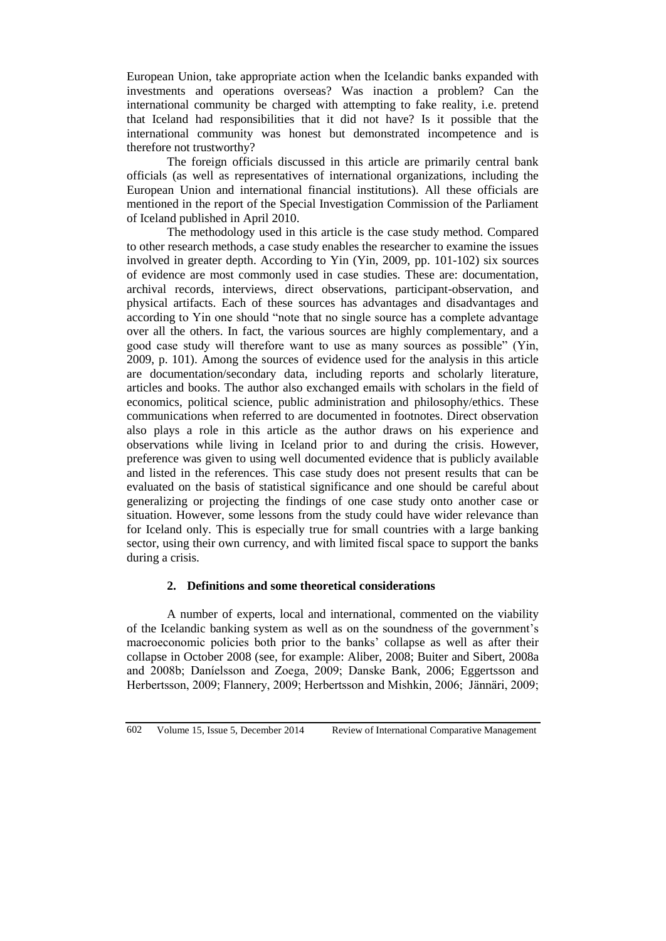European Union, take appropriate action when the Icelandic banks expanded with investments and operations overseas? Was inaction a problem? Can the international community be charged with attempting to fake reality, i.e. pretend that Iceland had responsibilities that it did not have? Is it possible that the international community was honest but demonstrated incompetence and is therefore not trustworthy?

The foreign officials discussed in this article are primarily central bank officials (as well as representatives of international organizations, including the European Union and international financial institutions). All these officials are mentioned in the report of the Special Investigation Commission of the Parliament of Iceland published in April 2010.

The methodology used in this article is the case study method. Compared to other research methods, a case study enables the researcher to examine the issues involved in greater depth. According to Yin (Yin, 2009, pp. 101-102) six sources of evidence are most commonly used in case studies. These are: documentation, archival records, interviews, direct observations, participant-observation, and physical artifacts. Each of these sources has advantages and disadvantages and according to Yin one should "note that no single source has a complete advantage over all the others. In fact, the various sources are highly complementary, and a good case study will therefore want to use as many sources as possible" (Yin, 2009, p. 101). Among the sources of evidence used for the analysis in this article are documentation/secondary data, including reports and scholarly literature, articles and books. The author also exchanged emails with scholars in the field of economics, political science, public administration and philosophy/ethics. These communications when referred to are documented in footnotes. Direct observation also plays a role in this article as the author draws on his experience and observations while living in Iceland prior to and during the crisis. However, preference was given to using well documented evidence that is publicly available and listed in the references. This case study does not present results that can be evaluated on the basis of statistical significance and one should be careful about generalizing or projecting the findings of one case study onto another case or situation. However, some lessons from the study could have wider relevance than for Iceland only. This is especially true for small countries with a large banking sector, using their own currency, and with limited fiscal space to support the banks during a crisis.

# **2. Definitions and some theoretical considerations**

A number of experts, local and international, commented on the viability of the Icelandic banking system as well as on the soundness of the government's macroeconomic policies both prior to the banks' collapse as well as after their collapse in October 2008 (see, for example: Aliber, 2008; Buiter and Sibert, 2008a and 2008b; Daníelsson and Zoega, 2009; Danske Bank, 2006; Eggertsson and Herbertsson, 2009; Flannery, 2009; Herbertsson and Mishkin, 2006; Jännäri, 2009;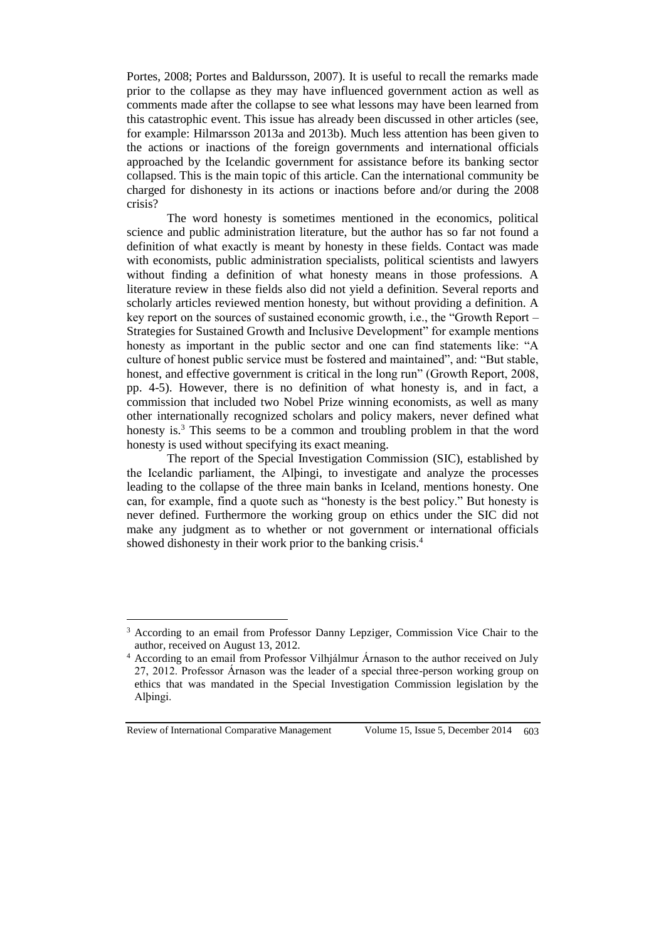Portes, 2008; Portes and Baldursson, 2007). It is useful to recall the remarks made prior to the collapse as they may have influenced government action as well as comments made after the collapse to see what lessons may have been learned from this catastrophic event. This issue has already been discussed in other articles (see, for example: Hilmarsson 2013a and 2013b). Much less attention has been given to the actions or inactions of the foreign governments and international officials approached by the Icelandic government for assistance before its banking sector collapsed. This is the main topic of this article. Can the international community be charged for dishonesty in its actions or inactions before and/or during the 2008 crisis?

The word honesty is sometimes mentioned in the economics, political science and public administration literature, but the author has so far not found a definition of what exactly is meant by honesty in these fields. Contact was made with economists, public administration specialists, political scientists and lawyers without finding a definition of what honesty means in those professions. A literature review in these fields also did not yield a definition. Several reports and scholarly articles reviewed mention honesty, but without providing a definition. A key report on the sources of sustained economic growth, i.e., the "Growth Report – Strategies for Sustained Growth and Inclusive Development" for example mentions honesty as important in the public sector and one can find statements like: "A culture of honest public service must be fostered and maintained", and: "But stable, honest, and effective government is critical in the long run" (Growth Report, 2008, pp. 4-5). However, there is no definition of what honesty is, and in fact, a commission that included two Nobel Prize winning economists, as well as many other internationally recognized scholars and policy makers, never defined what honesty is.<sup>3</sup> This seems to be a common and troubling problem in that the word honesty is used without specifying its exact meaning.

The report of the Special Investigation Commission (SIC), established by the Icelandic parliament, the Alþingi, to investigate and analyze the processes leading to the collapse of the three main banks in Iceland, mentions honesty. One can, for example, find a quote such as "honesty is the best policy." But honesty is never defined. Furthermore the working group on ethics under the SIC did not make any judgment as to whether or not government or international officials showed dishonesty in their work prior to the banking crisis.<sup>4</sup>

Review of International Comparative Management Volume 15, Issue 5, December 2014 603

 $\overline{a}$ 

<sup>3</sup> According to an email from Professor Danny Lepziger, Commission Vice Chair to the author, received on August 13, 2012.

<sup>4</sup> According to an email from Professor Vilhjálmur Árnason to the author received on July 27, 2012. Professor Árnason was the leader of a special three-person working group on ethics that was mandated in the Special Investigation Commission legislation by the Alþingi.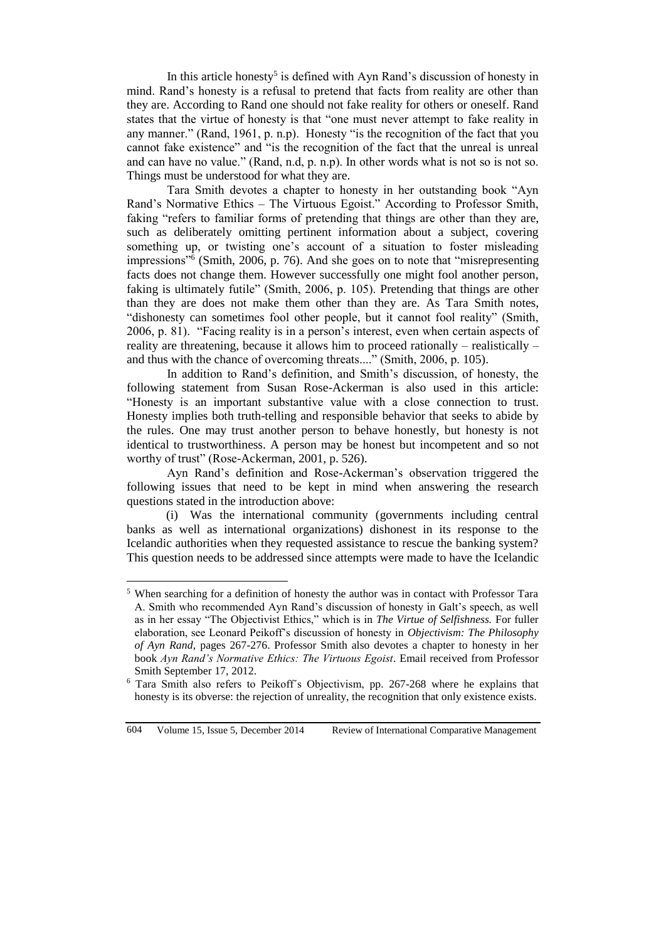In this article honesty<sup>5</sup> is defined with Ayn Rand's discussion of honesty in mind. Rand's honesty is a refusal to pretend that facts from reality are other than they are. According to Rand one should not fake reality for others or oneself. Rand states that the virtue of honesty is that "one must never attempt to fake reality in any manner." (Rand, 1961, p. n.p). Honesty "is the recognition of the fact that you cannot fake existence" and "is the recognition of the fact that the unreal is unreal and can have no value." (Rand, n.d, p. n.p). In other words what is not so is not so. Things must be understood for what they are.

Tara Smith devotes a chapter to honesty in her outstanding book "Ayn Rand's Normative Ethics – The Virtuous Egoist." According to Professor Smith, faking "refers to familiar forms of pretending that things are other than they are, such as deliberately omitting pertinent information about a subject, covering something up, or twisting one's account of a situation to foster misleading impressions"<sup>6</sup> (Smith, 2006, p. 76). And she goes on to note that "misrepresenting facts does not change them. However successfully one might fool another person, faking is ultimately futile" (Smith, 2006, p. 105). Pretending that things are other than they are does not make them other than they are. As Tara Smith notes, "dishonesty can sometimes fool other people, but it cannot fool reality" (Smith, 2006, p. 81). "Facing reality is in a person's interest, even when certain aspects of reality are threatening, because it allows him to proceed rationally – realistically – and thus with the chance of overcoming threats...." (Smith, 2006, p. 105).

In addition to Rand's definition, and Smith's discussion, of honesty, the following statement from Susan Rose-Ackerman is also used in this article: "Honesty is an important substantive value with a close connection to trust. Honesty implies both truth-telling and responsible behavior that seeks to abide by the rules. One may trust another person to behave honestly, but honesty is not identical to trustworthiness. A person may be honest but incompetent and so not worthy of trust" (Rose-Ackerman, 2001, p. 526).

Ayn Rand's definition and Rose-Ackerman's observation triggered the following issues that need to be kept in mind when answering the research questions stated in the introduction above:

(i) Was the international community (governments including central banks as well as international organizations) dishonest in its response to the Icelandic authorities when they requested assistance to rescue the banking system? This question needs to be addressed since attempts were made to have the Icelandic

 $\overline{a}$ 

<sup>5</sup> When searching for a definition of honesty the author was in contact with Professor Tara A. Smith who recommended Ayn Rand's discussion of honesty in Galt's speech, as well as in her essay "The Objectivist Ethics," which is in *The Virtue of Selfishness.* For fuller elaboration, see Leonard Peikoff's discussion of honesty in *Objectivism: The Philosophy of Ayn Rand*, pages 267-276. Professor Smith also devotes a chapter to honesty in her book *Ayn Rand's Normative Ethics: The Virtuous Egoist*. Email received from Professor Smith September 17, 2012.

<sup>6</sup> Tara Smith also refers to Peikoff´s Objectivism, pp. 267-268 where he explains that honesty is its obverse: the rejection of unreality, the recognition that only existence exists.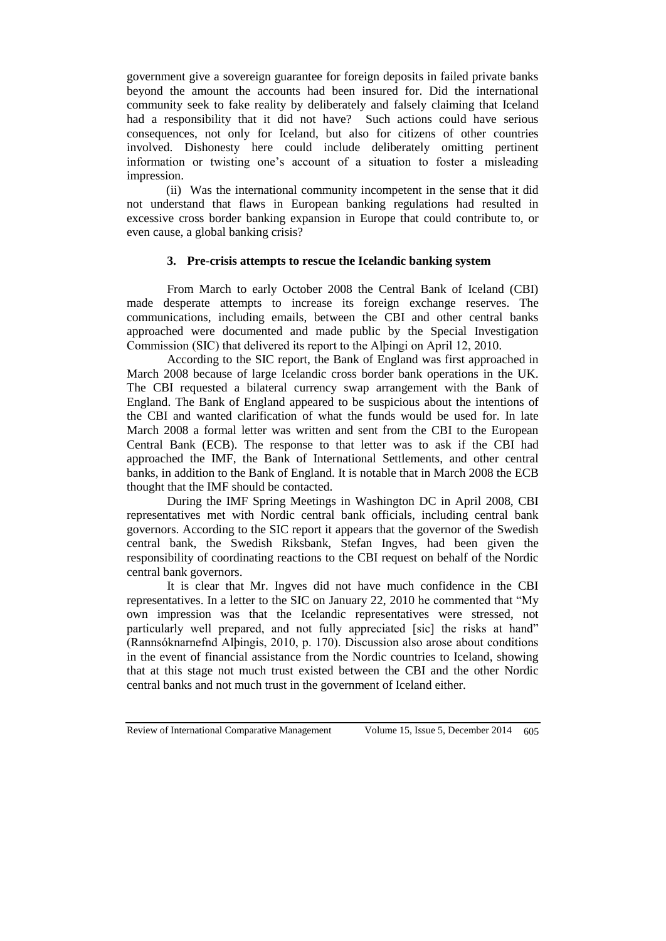government give a sovereign guarantee for foreign deposits in failed private banks beyond the amount the accounts had been insured for. Did the international community seek to fake reality by deliberately and falsely claiming that Iceland had a responsibility that it did not have? Such actions could have serious consequences, not only for Iceland, but also for citizens of other countries involved. Dishonesty here could include deliberately omitting pertinent information or twisting one's account of a situation to foster a misleading impression.

(ii) Was the international community incompetent in the sense that it did not understand that flaws in European banking regulations had resulted in excessive cross border banking expansion in Europe that could contribute to, or even cause, a global banking crisis?

# **3. Pre-crisis attempts to rescue the Icelandic banking system**

From March to early October 2008 the Central Bank of Iceland (CBI) made desperate attempts to increase its foreign exchange reserves. The communications, including emails, between the CBI and other central banks approached were documented and made public by the Special Investigation Commission (SIC) that delivered its report to the Alþingi on April 12, 2010.

According to the SIC report, the Bank of England was first approached in March 2008 because of large Icelandic cross border bank operations in the UK. The CBI requested a bilateral currency swap arrangement with the Bank of England. The Bank of England appeared to be suspicious about the intentions of the CBI and wanted clarification of what the funds would be used for. In late March 2008 a formal letter was written and sent from the CBI to the European Central Bank (ECB). The response to that letter was to ask if the CBI had approached the IMF, the Bank of International Settlements, and other central banks, in addition to the Bank of England. It is notable that in March 2008 the ECB thought that the IMF should be contacted.

During the IMF Spring Meetings in Washington DC in April 2008, CBI representatives met with Nordic central bank officials, including central bank governors. According to the SIC report it appears that the governor of the Swedish central bank, the Swedish Riksbank, Stefan Ingves, had been given the responsibility of coordinating reactions to the CBI request on behalf of the Nordic central bank governors.

It is clear that Mr. Ingves did not have much confidence in the CBI representatives. In a letter to the SIC on January 22, 2010 he commented that "My own impression was that the Icelandic representatives were stressed, not particularly well prepared, and not fully appreciated [sic] the risks at hand" (Rannsóknarnefnd Alþingis, 2010, p. 170). Discussion also arose about conditions in the event of financial assistance from the Nordic countries to Iceland, showing that at this stage not much trust existed between the CBI and the other Nordic central banks and not much trust in the government of Iceland either.

Review of International Comparative Management Volume 15, Issue 5, December 2014 605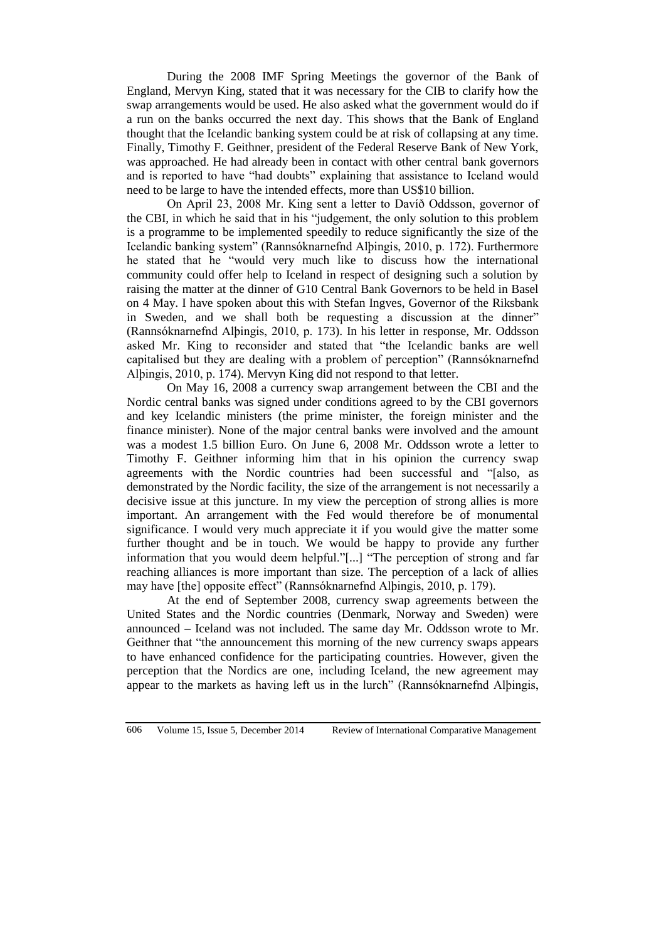During the 2008 IMF Spring Meetings the governor of the Bank of England, Mervyn King, stated that it was necessary for the CIB to clarify how the swap arrangements would be used. He also asked what the government would do if a run on the banks occurred the next day. This shows that the Bank of England thought that the Icelandic banking system could be at risk of collapsing at any time. Finally, Timothy F. Geithner, president of the Federal Reserve Bank of New York, was approached. He had already been in contact with other central bank governors and is reported to have "had doubts" explaining that assistance to Iceland would need to be large to have the intended effects, more than US\$10 billion.

On April 23, 2008 Mr. King sent a letter to Davíð Oddsson, governor of the CBI, in which he said that in his "judgement, the only solution to this problem is a programme to be implemented speedily to reduce significantly the size of the Icelandic banking system" (Rannsóknarnefnd Alþingis, 2010, p. 172). Furthermore he stated that he "would very much like to discuss how the international community could offer help to Iceland in respect of designing such a solution by raising the matter at the dinner of G10 Central Bank Governors to be held in Basel on 4 May. I have spoken about this with Stefan Ingves, Governor of the Riksbank in Sweden, and we shall both be requesting a discussion at the dinner" (Rannsóknarnefnd Alþingis, 2010, p. 173). In his letter in response, Mr. Oddsson asked Mr. King to reconsider and stated that "the Icelandic banks are well capitalised but they are dealing with a problem of perception" (Rannsóknarnefnd Alþingis, 2010, p. 174). Mervyn King did not respond to that letter.

On May 16, 2008 a currency swap arrangement between the CBI and the Nordic central banks was signed under conditions agreed to by the CBI governors and key Icelandic ministers (the prime minister, the foreign minister and the finance minister). None of the major central banks were involved and the amount was a modest 1.5 billion Euro. On June 6, 2008 Mr. Oddsson wrote a letter to Timothy F. Geithner informing him that in his opinion the currency swap agreements with the Nordic countries had been successful and "[also, as demonstrated by the Nordic facility, the size of the arrangement is not necessarily a decisive issue at this juncture. In my view the perception of strong allies is more important. An arrangement with the Fed would therefore be of monumental significance. I would very much appreciate it if you would give the matter some further thought and be in touch. We would be happy to provide any further information that you would deem helpful."[...] "The perception of strong and far reaching alliances is more important than size. The perception of a lack of allies may have [the] opposite effect" (Rannsóknarnefnd Alþingis, 2010, p. 179).

At the end of September 2008, currency swap agreements between the United States and the Nordic countries (Denmark, Norway and Sweden) were announced – Iceland was not included. The same day Mr. Oddsson wrote to Mr. Geithner that "the announcement this morning of the new currency swaps appears to have enhanced confidence for the participating countries. However, given the perception that the Nordics are one, including Iceland, the new agreement may appear to the markets as having left us in the lurch" (Rannsóknarnefnd Alþingis,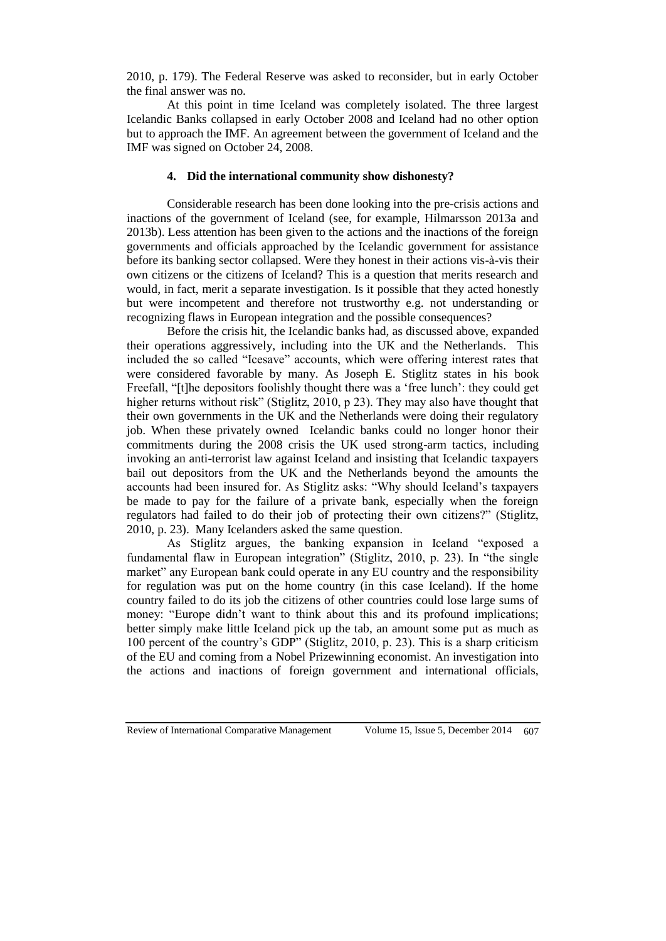2010, p. 179). The Federal Reserve was asked to reconsider, but in early October the final answer was no.

At this point in time Iceland was completely isolated. The three largest Icelandic Banks collapsed in early October 2008 and Iceland had no other option but to approach the IMF. An agreement between the government of Iceland and the IMF was signed on October 24, 2008.

### **4. Did the international community show dishonesty?**

Considerable research has been done looking into the pre-crisis actions and inactions of the government of Iceland (see, for example, Hilmarsson 2013a and 2013b). Less attention has been given to the actions and the inactions of the foreign governments and officials approached by the Icelandic government for assistance before its banking sector collapsed. Were they honest in their actions vis-à-vis their own citizens or the citizens of Iceland? This is a question that merits research and would, in fact, merit a separate investigation. Is it possible that they acted honestly but were incompetent and therefore not trustworthy e.g. not understanding or recognizing flaws in European integration and the possible consequences?

Before the crisis hit, the Icelandic banks had, as discussed above, expanded their operations aggressively, including into the UK and the Netherlands. This included the so called "Icesave" accounts, which were offering interest rates that were considered favorable by many. As Joseph E. Stiglitz states in his book Freefall, "[t]he depositors foolishly thought there was a 'free lunch': they could get higher returns without risk" (Stiglitz, 2010, p 23). They may also have thought that their own governments in the UK and the Netherlands were doing their regulatory job. When these privately owned Icelandic banks could no longer honor their commitments during the 2008 crisis the UK used strong-arm tactics, including invoking an anti-terrorist law against Iceland and insisting that Icelandic taxpayers bail out depositors from the UK and the Netherlands beyond the amounts the accounts had been insured for. As Stiglitz asks: "Why should Iceland's taxpayers be made to pay for the failure of a private bank, especially when the foreign regulators had failed to do their job of protecting their own citizens?" (Stiglitz, 2010, p. 23). Many Icelanders asked the same question.

As Stiglitz argues, the banking expansion in Iceland "exposed a fundamental flaw in European integration" (Stiglitz, 2010, p. 23). In "the single market" any European bank could operate in any EU country and the responsibility for regulation was put on the home country (in this case Iceland). If the home country failed to do its job the citizens of other countries could lose large sums of money: "Europe didn't want to think about this and its profound implications; better simply make little Iceland pick up the tab, an amount some put as much as 100 percent of the country's GDP" (Stiglitz, 2010, p. 23). This is a sharp criticism of the EU and coming from a Nobel Prizewinning economist. An investigation into the actions and inactions of foreign government and international officials,

Review of International Comparative Management Volume 15, Issue 5, December 2014 607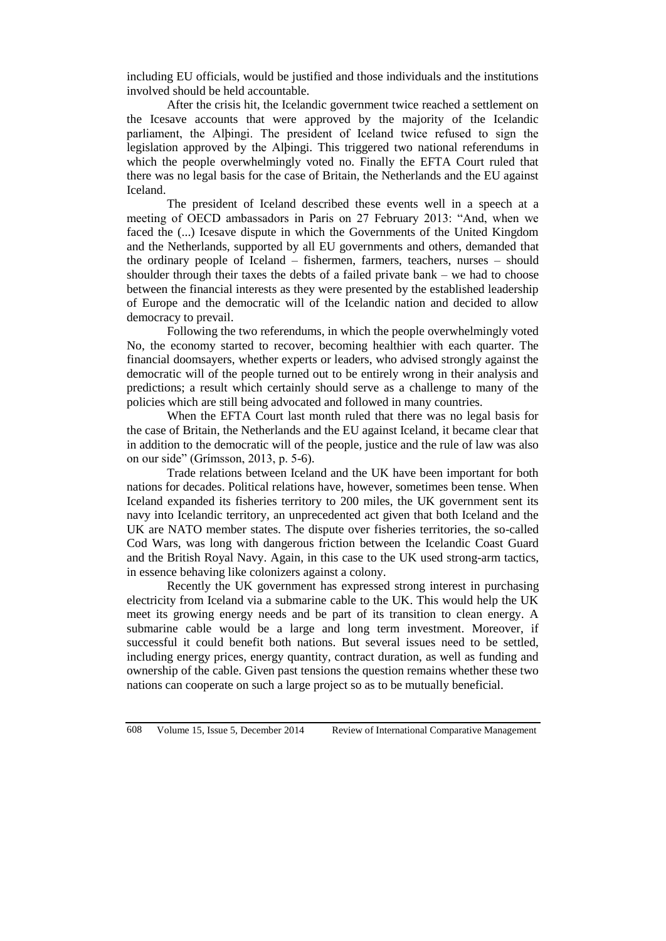including EU officials, would be justified and those individuals and the institutions involved should be held accountable.

After the crisis hit, the Icelandic government twice reached a settlement on the Icesave accounts that were approved by the majority of the Icelandic parliament, the Alþingi. The president of Iceland twice refused to sign the legislation approved by the Alþingi. This triggered two national referendums in which the people overwhelmingly voted no. Finally the EFTA Court ruled that there was no legal basis for the case of Britain, the Netherlands and the EU against Iceland.

The president of Iceland described these events well in a speech at a meeting of OECD ambassadors in Paris on 27 February 2013: "And, when we faced the (...) Icesave dispute in which the Governments of the United Kingdom and the Netherlands, supported by all EU governments and others, demanded that the ordinary people of Iceland – fishermen, farmers, teachers, nurses – should shoulder through their taxes the debts of a failed private bank – we had to choose between the financial interests as they were presented by the established leadership of Europe and the democratic will of the Icelandic nation and decided to allow democracy to prevail.

Following the two referendums, in which the people overwhelmingly voted No, the economy started to recover, becoming healthier with each quarter. The financial doomsayers, whether experts or leaders, who advised strongly against the democratic will of the people turned out to be entirely wrong in their analysis and predictions; a result which certainly should serve as a challenge to many of the policies which are still being advocated and followed in many countries.

When the EFTA Court last month ruled that there was no legal basis for the case of Britain, the Netherlands and the EU against Iceland, it became clear that in addition to the democratic will of the people, justice and the rule of law was also on our side" (Grímsson, 2013, p. 5-6).

Trade relations between Iceland and the UK have been important for both nations for decades. Political relations have, however, sometimes been tense. When Iceland expanded its fisheries territory to 200 miles, the UK government sent its navy into Icelandic territory, an unprecedented act given that both Iceland and the UK are NATO member states. The dispute over fisheries territories, the so-called Cod Wars, was long with dangerous friction between the Icelandic Coast Guard and the British Royal Navy. Again, in this case to the UK used strong-arm tactics, in essence behaving like colonizers against a colony.

Recently the UK government has expressed strong interest in purchasing electricity from Iceland via a submarine cable to the UK. This would help the UK meet its growing energy needs and be part of its transition to clean energy. A submarine cable would be a large and long term investment. Moreover, if successful it could benefit both nations. But several issues need to be settled, including energy prices, energy quantity, contract duration, as well as funding and ownership of the cable. Given past tensions the question remains whether these two nations can cooperate on such a large project so as to be mutually beneficial.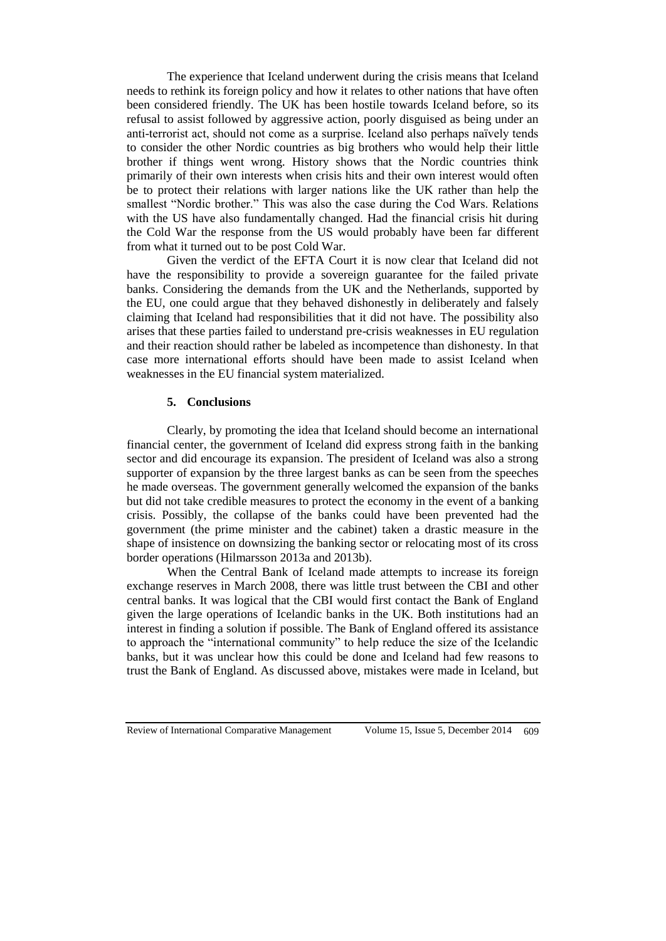The experience that Iceland underwent during the crisis means that Iceland needs to rethink its foreign policy and how it relates to other nations that have often been considered friendly. The UK has been hostile towards Iceland before, so its refusal to assist followed by aggressive action, poorly disguised as being under an anti-terrorist act, should not come as a surprise. Iceland also perhaps naïvely tends to consider the other Nordic countries as big brothers who would help their little brother if things went wrong. History shows that the Nordic countries think primarily of their own interests when crisis hits and their own interest would often be to protect their relations with larger nations like the UK rather than help the smallest "Nordic brother." This was also the case during the Cod Wars. Relations with the US have also fundamentally changed. Had the financial crisis hit during the Cold War the response from the US would probably have been far different from what it turned out to be post Cold War.

Given the verdict of the EFTA Court it is now clear that Iceland did not have the responsibility to provide a sovereign guarantee for the failed private banks. Considering the demands from the UK and the Netherlands, supported by the EU, one could argue that they behaved dishonestly in deliberately and falsely claiming that Iceland had responsibilities that it did not have. The possibility also arises that these parties failed to understand pre-crisis weaknesses in EU regulation and their reaction should rather be labeled as incompetence than dishonesty. In that case more international efforts should have been made to assist Iceland when weaknesses in the EU financial system materialized.

# **5. Conclusions**

Clearly, by promoting the idea that Iceland should become an international financial center, the government of Iceland did express strong faith in the banking sector and did encourage its expansion. The president of Iceland was also a strong supporter of expansion by the three largest banks as can be seen from the speeches he made overseas. The government generally welcomed the expansion of the banks but did not take credible measures to protect the economy in the event of a banking crisis. Possibly, the collapse of the banks could have been prevented had the government (the prime minister and the cabinet) taken a drastic measure in the shape of insistence on downsizing the banking sector or relocating most of its cross border operations (Hilmarsson 2013a and 2013b).

When the Central Bank of Iceland made attempts to increase its foreign exchange reserves in March 2008, there was little trust between the CBI and other central banks. It was logical that the CBI would first contact the Bank of England given the large operations of Icelandic banks in the UK. Both institutions had an interest in finding a solution if possible. The Bank of England offered its assistance to approach the "international community" to help reduce the size of the Icelandic banks, but it was unclear how this could be done and Iceland had few reasons to trust the Bank of England. As discussed above, mistakes were made in Iceland, but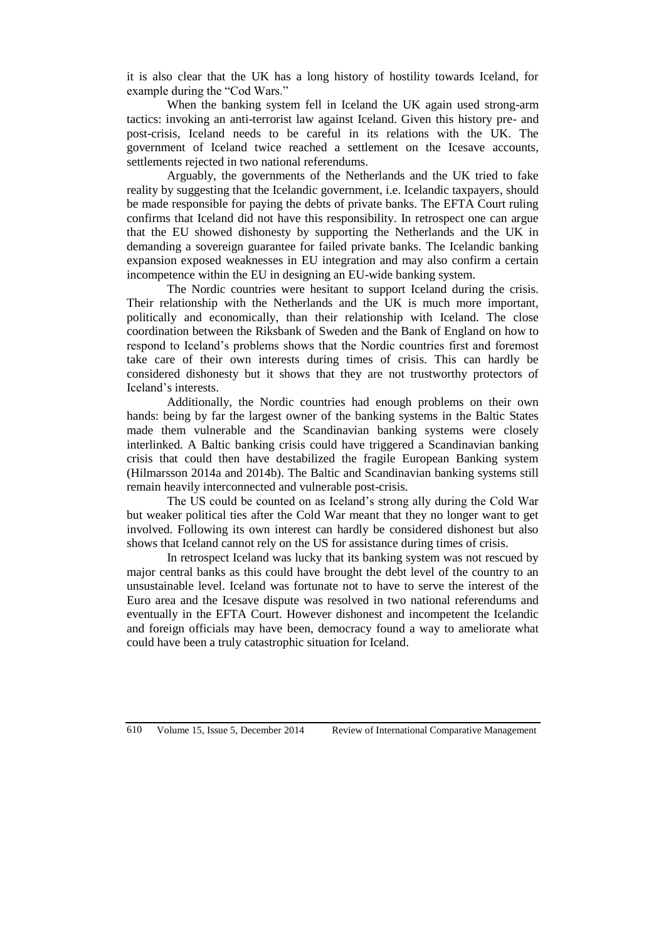it is also clear that the UK has a long history of hostility towards Iceland, for example during the "Cod Wars."

When the banking system fell in Iceland the UK again used strong-arm tactics: invoking an anti-terrorist law against Iceland. Given this history pre- and post-crisis, Iceland needs to be careful in its relations with the UK. The government of Iceland twice reached a settlement on the Icesave accounts, settlements rejected in two national referendums.

Arguably, the governments of the Netherlands and the UK tried to fake reality by suggesting that the Icelandic government, i.e. Icelandic taxpayers, should be made responsible for paying the debts of private banks. The EFTA Court ruling confirms that Iceland did not have this responsibility. In retrospect one can argue that the EU showed dishonesty by supporting the Netherlands and the UK in demanding a sovereign guarantee for failed private banks. The Icelandic banking expansion exposed weaknesses in EU integration and may also confirm a certain incompetence within the EU in designing an EU-wide banking system.

The Nordic countries were hesitant to support Iceland during the crisis. Their relationship with the Netherlands and the UK is much more important, politically and economically, than their relationship with Iceland. The close coordination between the Riksbank of Sweden and the Bank of England on how to respond to Iceland's problems shows that the Nordic countries first and foremost take care of their own interests during times of crisis. This can hardly be considered dishonesty but it shows that they are not trustworthy protectors of Iceland's interests.

Additionally, the Nordic countries had enough problems on their own hands: being by far the largest owner of the banking systems in the Baltic States made them vulnerable and the Scandinavian banking systems were closely interlinked. A Baltic banking crisis could have triggered a Scandinavian banking crisis that could then have destabilized the fragile European Banking system (Hilmarsson 2014a and 2014b). The Baltic and Scandinavian banking systems still remain heavily interconnected and vulnerable post-crisis.

The US could be counted on as Iceland's strong ally during the Cold War but weaker political ties after the Cold War meant that they no longer want to get involved. Following its own interest can hardly be considered dishonest but also shows that Iceland cannot rely on the US for assistance during times of crisis.

In retrospect Iceland was lucky that its banking system was not rescued by major central banks as this could have brought the debt level of the country to an unsustainable level. Iceland was fortunate not to have to serve the interest of the Euro area and the Icesave dispute was resolved in two national referendums and eventually in the EFTA Court. However dishonest and incompetent the Icelandic and foreign officials may have been, democracy found a way to ameliorate what could have been a truly catastrophic situation for Iceland.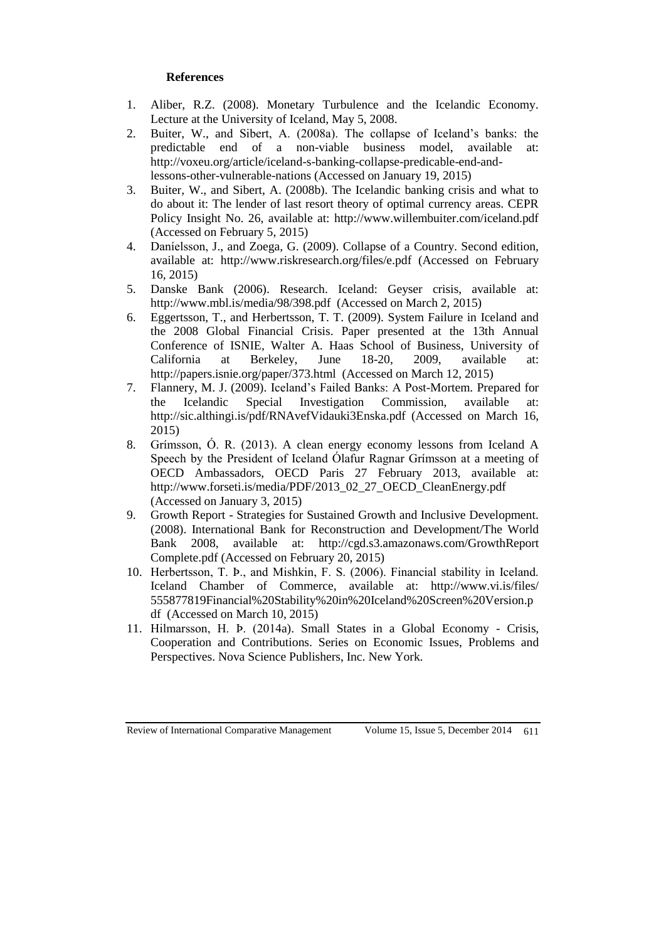# **References**

- 1. Aliber, R.Z. (2008). Monetary Turbulence and the Icelandic Economy. Lecture at the University of Iceland, May 5, 2008.
- 2. Buiter, W., and Sibert, A. (2008a). The collapse of Iceland's banks: the predictable end of a non-viable business model, available at: http://voxeu.org/article/iceland-s-banking-collapse-predicable-end-andlessons-other-vulnerable-nations (Accessed on January 19, 2015)
- 3. Buiter, W., and Sibert, A. (2008b). The Icelandic banking crisis and what to do about it: The lender of last resort theory of optimal currency areas. CEPR Policy Insight No. 26, available at: http://www.willembuiter.com/iceland.pdf (Accessed on February 5, 2015)
- 4. Daníelsson, J., and Zoega, G. (2009). Collapse of a Country. Second edition, available at: http://www.riskresearch.org/files/e.pdf (Accessed on February 16, 2015)
- 5. Danske Bank (2006). Research. Iceland: Geyser crisis, available at: http://www.mbl.is/media/98/398.pdf (Accessed on March 2, 2015)
- 6. Eggertsson, T., and Herbertsson, T. T. (2009). System Failure in Iceland and the 2008 Global Financial Crisis. Paper presented at the 13th Annual Conference of ISNIE, Walter A. Haas School of Business, University of California at Berkeley, June 18-20, 2009, available at: http://papers.isnie.org/paper/373.html (Accessed on March 12, 2015)
- 7. Flannery, M. J. (2009). Iceland's Failed Banks: A Post-Mortem. Prepared for the Icelandic Special Investigation Commission, available at: http://sic.althingi.is/pdf/RNAvefVidauki3Enska.pdf (Accessed on March 16, 2015)
- 8. Grímsson, Ó. R. (2013). A clean energy economy lessons from Iceland A Speech by the President of Iceland Ólafur Ragnar Grímsson at a meeting of OECD Ambassadors, OECD Paris 27 February 2013, available at: http://www.forseti.is/media/PDF/2013\_02\_27\_OECD\_CleanEnergy.pdf (Accessed on January 3, 2015)
- 9. Growth Report Strategies for Sustained Growth and Inclusive Development. (2008). International Bank for Reconstruction and Development/The World Bank 2008, available at: http://cgd.s3.amazonaws.com/GrowthReport Complete.pdf (Accessed on February 20, 2015)
- 10. Herbertsson, T. Þ., and Mishkin, F. S. (2006). Financial stability in Iceland. Iceland Chamber of Commerce, available at: http://www.vi.is/files/ 555877819Financial%20Stability%20in%20Iceland%20Screen%20Version.p df (Accessed on March 10, 2015)
- 11. Hilmarsson, H. Þ. (2014a). Small States in a Global Economy Crisis, Cooperation and Contributions. Series on Economic Issues, Problems and Perspectives. Nova Science Publishers, Inc. New York.

Review of International Comparative Management Volume 15, Issue 5, December 2014 611